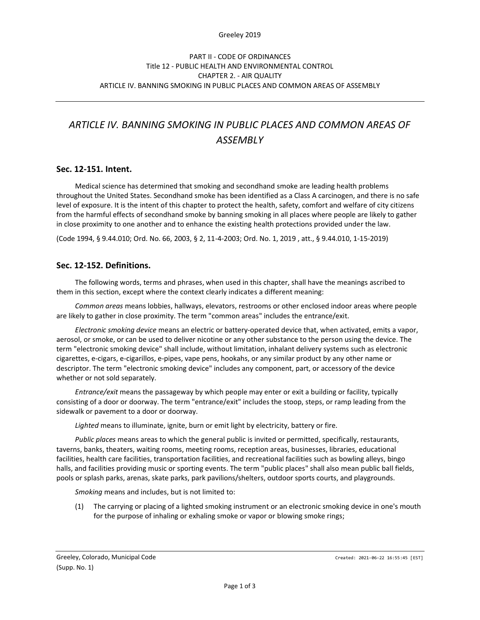#### Greeley 2019

# *ARTICLE IV. BANNING SMOKING IN PUBLIC PLACES AND COMMON AREAS OF ASSEMBLY*

# **Sec. 12-151. Intent.**

Medical science has determined that smoking and secondhand smoke are leading health problems throughout the United States. Secondhand smoke has been identified as a Class A carcinogen, and there is no safe level of exposure. It is the intent of this chapter to protect the health, safety, comfort and welfare of city citizens from the harmful effects of secondhand smoke by banning smoking in all places where people are likely to gather in close proximity to one another and to enhance the existing health protections provided under the law.

(Code 1994, § 9.44.010; Ord. No. 66, 2003, § 2, 11-4-2003; Ord. No. 1, 2019 , att., § 9.44.010, 1-15-2019)

# **Sec. 12-152. Definitions.**

The following words, terms and phrases, when used in this chapter, shall have the meanings ascribed to them in this section, except where the context clearly indicates a different meaning:

*Common areas* means lobbies, hallways, elevators, restrooms or other enclosed indoor areas where people are likely to gather in close proximity. The term "common areas" includes the entrance/exit.

*Electronic smoking device* means an electric or battery-operated device that, when activated, emits a vapor, aerosol, or smoke, or can be used to deliver nicotine or any other substance to the person using the device. The term "electronic smoking device" shall include, without limitation, inhalant delivery systems such as electronic cigarettes, e-cigars, e-cigarillos, e-pipes, vape pens, hookahs, or any similar product by any other name or descriptor. The term "electronic smoking device" includes any component, part, or accessory of the device whether or not sold separately.

*Entrance/exit* means the passageway by which people may enter or exit a building or facility, typically consisting of a door or doorway. The term "entrance/exit" includes the stoop, steps, or ramp leading from the sidewalk or pavement to a door or doorway.

*Lighted* means to illuminate, ignite, burn or emit light by electricity, battery or fire.

*Public places* means areas to which the general public is invited or permitted, specifically, restaurants, taverns, banks, theaters, waiting rooms, meeting rooms, reception areas, businesses, libraries, educational facilities, health care facilities, transportation facilities, and recreational facilities such as bowling alleys, bingo halls, and facilities providing music or sporting events. The term "public places" shall also mean public ball fields, pools or splash parks, arenas, skate parks, park pavilions/shelters, outdoor sports courts, and playgrounds.

*Smoking* means and includes, but is not limited to:

(1) The carrying or placing of a lighted smoking instrument or an electronic smoking device in one's mouth for the purpose of inhaling or exhaling smoke or vapor or blowing smoke rings;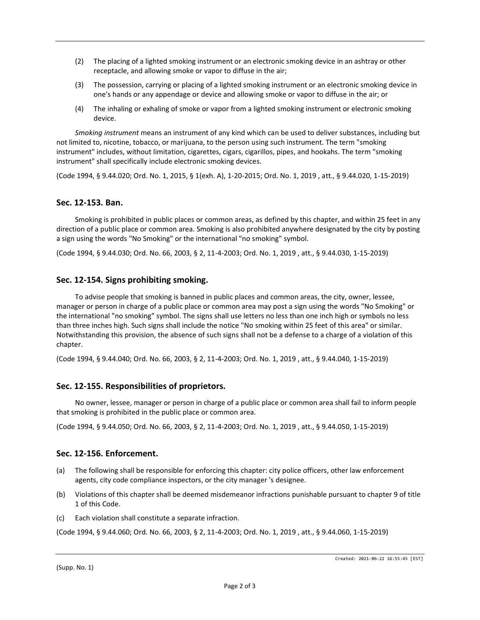- (2) The placing of a lighted smoking instrument or an electronic smoking device in an ashtray or other receptacle, and allowing smoke or vapor to diffuse in the air;
- (3) The possession, carrying or placing of a lighted smoking instrument or an electronic smoking device in one's hands or any appendage or device and allowing smoke or vapor to diffuse in the air; or
- (4) The inhaling or exhaling of smoke or vapor from a lighted smoking instrument or electronic smoking device.

*Smoking instrument* means an instrument of any kind which can be used to deliver substances, including but not limited to, nicotine, tobacco, or marijuana, to the person using such instrument. The term "smoking instrument" includes, without limitation, cigarettes, cigars, cigarillos, pipes, and hookahs. The term "smoking instrument" shall specifically include electronic smoking devices.

(Code 1994, § 9.44.020; Ord. No. 1, 2015, § 1(exh. A), 1-20-2015; Ord. No. 1, 2019 , att., § 9.44.020, 1-15-2019)

# **Sec. 12-153. Ban.**

Smoking is prohibited in public places or common areas, as defined by this chapter, and within 25 feet in any direction of a public place or common area. Smoking is also prohibited anywhere designated by the city by posting a sign using the words "No Smoking" or the international "no smoking" symbol.

(Code 1994, § 9.44.030; Ord. No. 66, 2003, § 2, 11-4-2003; Ord. No. 1, 2019 , att., § 9.44.030, 1-15-2019)

# **Sec. 12-154. Signs prohibiting smoking.**

To advise people that smoking is banned in public places and common areas, the city, owner, lessee, manager or person in charge of a public place or common area may post a sign using the words "No Smoking" or the international "no smoking" symbol. The signs shall use letters no less than one inch high or symbols no less than three inches high. Such signs shall include the notice "No smoking within 25 feet of this area" or similar. Notwithstanding this provision, the absence of such signs shall not be a defense to a charge of a violation of this chapter.

(Code 1994, § 9.44.040; Ord. No. 66, 2003, § 2, 11-4-2003; Ord. No. 1, 2019 , att., § 9.44.040, 1-15-2019)

#### **Sec. 12-155. Responsibilities of proprietors.**

No owner, lessee, manager or person in charge of a public place or common area shall fail to inform people that smoking is prohibited in the public place or common area.

(Code 1994, § 9.44.050; Ord. No. 66, 2003, § 2, 11-4-2003; Ord. No. 1, 2019 , att., § 9.44.050, 1-15-2019)

### **Sec. 12-156. Enforcement.**

- (a) The following shall be responsible for enforcing this chapter: city police officers, other law enforcement agents, city code compliance inspectors, or the city manager 's designee.
- (b) Violations of this chapter shall be deemed misdemeanor infractions punishable pursuant to chapter 9 of title 1 of this Code.
- (c) Each violation shall constitute a separate infraction.

(Code 1994, § 9.44.060; Ord. No. 66, 2003, § 2, 11-4-2003; Ord. No. 1, 2019 , att., § 9.44.060, 1-15-2019)

(Supp. No. 1)